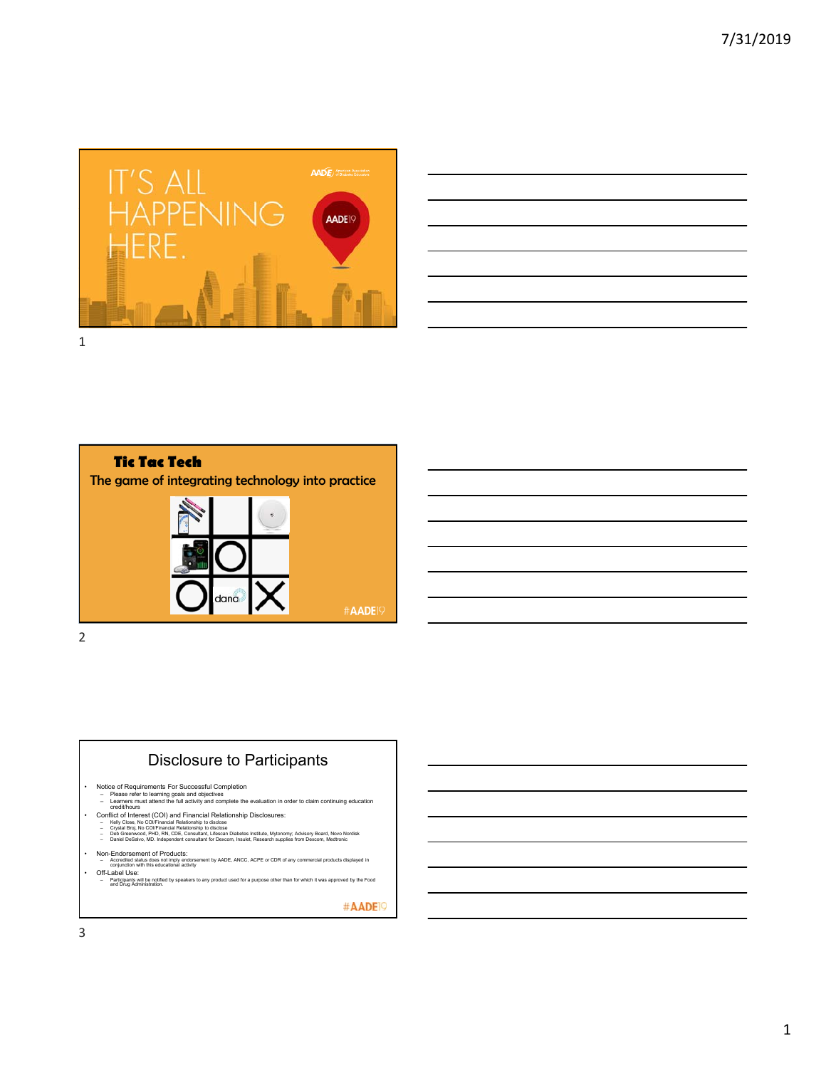





## Disclosure to Participants

- 
- Notice of Requirements For Successful Completion<br>– Please refer to learning goals and objectives<br>– cearlers must attend the full activity and complete the evaluation in order to claim continuing education<br>– credit/hours
	-
	-
- Conflict of Interest (COI) and Financial Relationship Disclosures:<br>- Kelly Close, No COlFinancial Relationship to disclose<br>- Cystal Broj, No COlFinancial Relationship to disclose<br>- Deb Greenwood, PHD, RN, CDE, Consultan
	-
- 
- Non-Endorsement of Products:<br>- Accredited status does not imply endorsement by AADE, ANCC, ACPE or CDR of any commercial products displayed in<br>- Orificable Use:<br>- Off-Label Use:<br>- and Dixia Attilliants will be notified b

#AADE<sup>19</sup>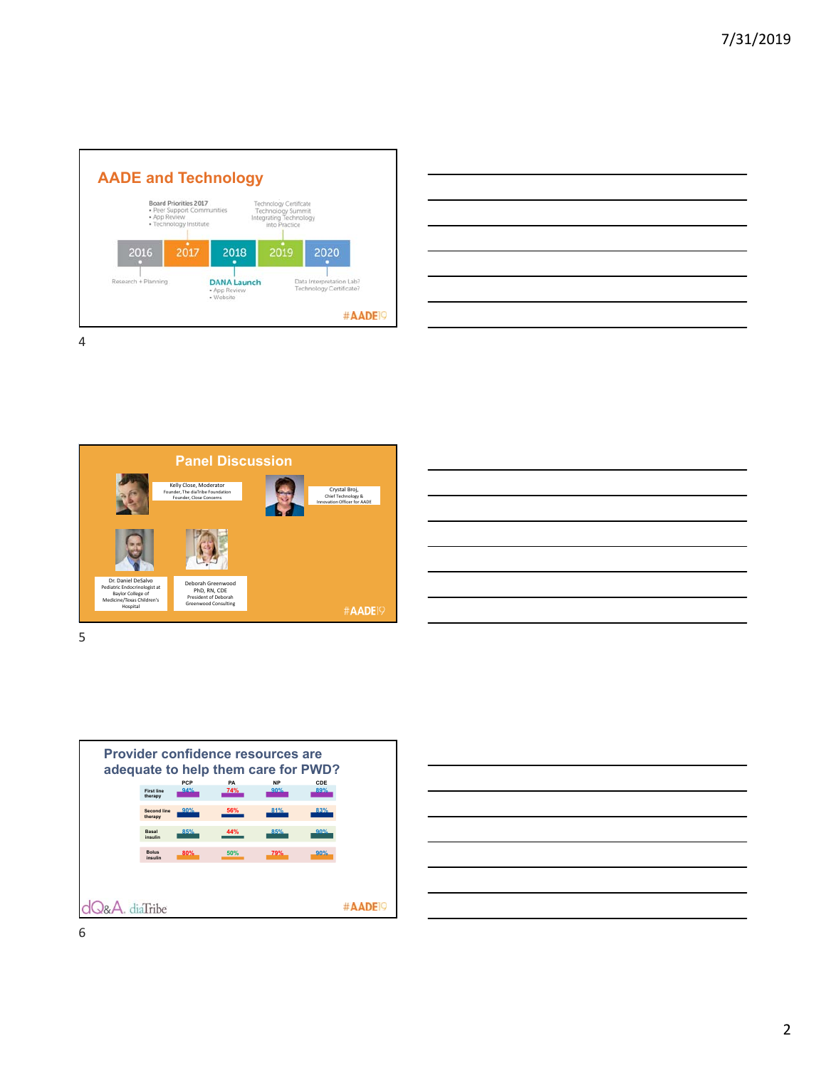











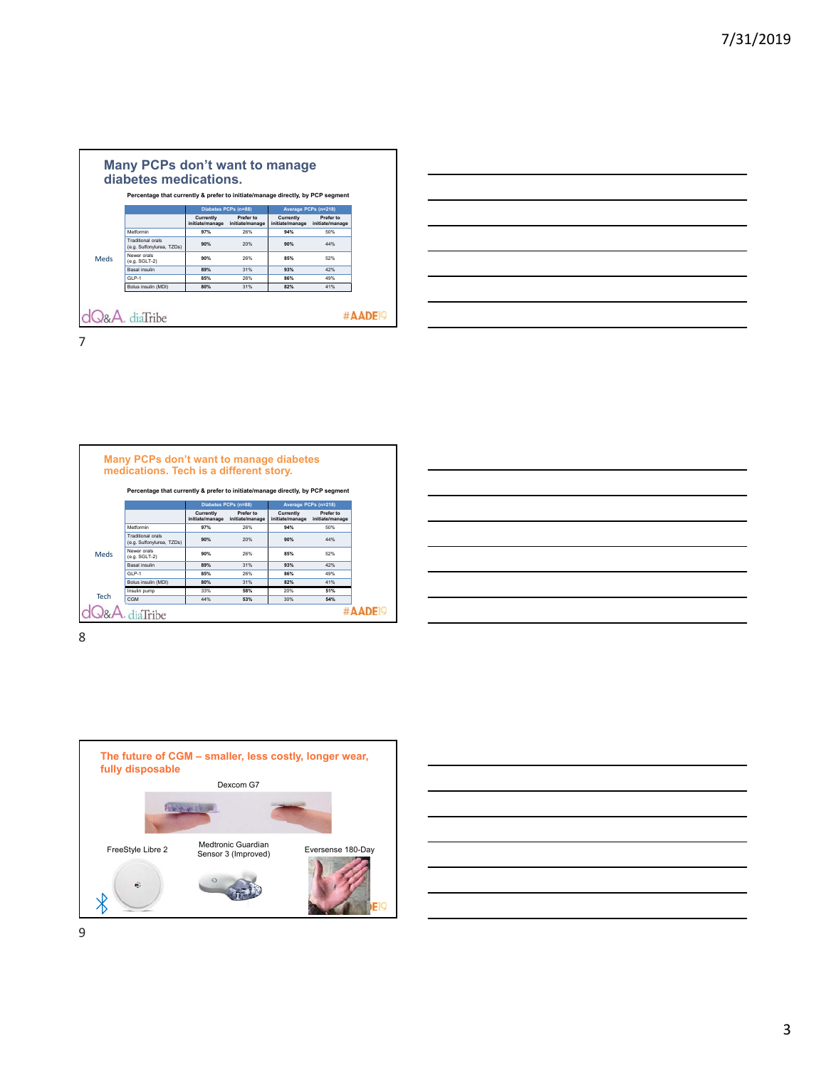|             |                                                       | Diabetes PCPs (n=88)<br>Average PCPs (n=218) |                              |                              |                              |
|-------------|-------------------------------------------------------|----------------------------------------------|------------------------------|------------------------------|------------------------------|
|             |                                                       | Currently<br>initiate/manage                 | Prefer to<br>initiate/manage | Currently<br>initiate/manage | Prefer to<br>initiate/manage |
| <b>Meds</b> | Metformin                                             | 97%                                          | 26%                          | 94%                          | 50%                          |
|             | <b>Traditional orals</b><br>(e.g. Sulfonvlurea, TZDs) | 90%                                          | 20%                          | 90%                          | 44%                          |
|             | Newer orals<br>(e.g. SGLT-2)                          | 90%                                          | 26%                          | 85%                          | 52%                          |
|             | <b>Basal</b> insulin                                  | 89%                                          | 31%                          | 93%                          | 42%                          |
|             | $GIP-1$                                               | 85%                                          | 26%                          | 86%                          | 49%                          |
|             | Bolus insulin (MDI)                                   | 80%                                          | 31%                          | 82%                          | 41%                          |



| medications. Tech is a different story.               |                              |                              |                              |                                                                                |  |
|-------------------------------------------------------|------------------------------|------------------------------|------------------------------|--------------------------------------------------------------------------------|--|
|                                                       |                              |                              |                              |                                                                                |  |
|                                                       |                              |                              |                              |                                                                                |  |
|                                                       | Diabetes PCPs (n=88)         |                              | Average PCPs (n=218)         |                                                                                |  |
|                                                       | Currently<br>initiate/manage | Prefer to<br>initiate/manage | Currently<br>initiate/manage | Prefer to<br>initiate/manage                                                   |  |
| Metformin                                             | 97%                          | 26%                          | 94%                          | 50%                                                                            |  |
| <b>Traditional orals</b><br>(e.g. Sulfonylurea, TZDs) | 90%                          | 20%                          | 90%                          | 44%                                                                            |  |
| Newer orals<br>(e.g. SGLT-2)                          | 90%                          | 26%                          | 85%                          | 52%                                                                            |  |
| <b>Basal</b> insulin                                  | 89%                          | 31%                          | 93%                          | 42%                                                                            |  |
| $GIP-1$                                               | 85%                          | 26%                          | 86%                          | 49%                                                                            |  |
| Bolus insulin (MDI)                                   | 80%                          | 31%                          | 82%                          | 41%                                                                            |  |
| Insulin pump                                          | 33%                          | 58%                          | 20%                          | 51%                                                                            |  |
| <b>CGM</b>                                            | 44%                          | 53%                          | 30%                          | 54%                                                                            |  |
|                                                       |                              |                              |                              | Percentage that currently & prefer to initiate/manage directly, by PCP segment |  |

| <u> Andreas Andreas Andreas Andreas Andreas Andreas Andreas Andreas Andreas Andreas Andreas Andreas Andreas Andreas Andreas Andreas Andreas Andreas Andreas Andreas Andreas Andreas Andreas Andreas Andreas Andreas Andreas Andr</u> |  |  |
|--------------------------------------------------------------------------------------------------------------------------------------------------------------------------------------------------------------------------------------|--|--|
| <u> Alexandro de la contrada de la contrada de la contrada de la contrada de la contrada de la contrada de la con</u>                                                                                                                |  |  |
|                                                                                                                                                                                                                                      |  |  |
|                                                                                                                                                                                                                                      |  |  |
|                                                                                                                                                                                                                                      |  |  |





9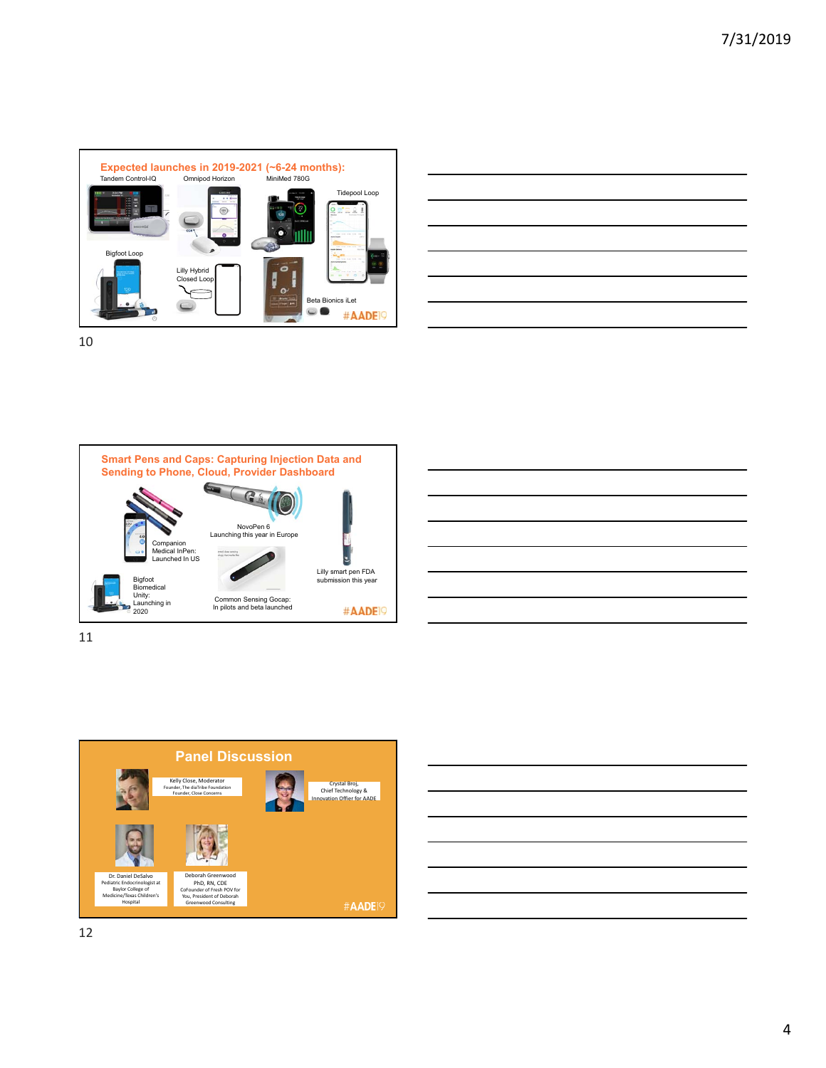





![](_page_3_Figure_5.jpeg)

11

![](_page_3_Figure_7.jpeg)

![](_page_3_Picture_8.jpeg)